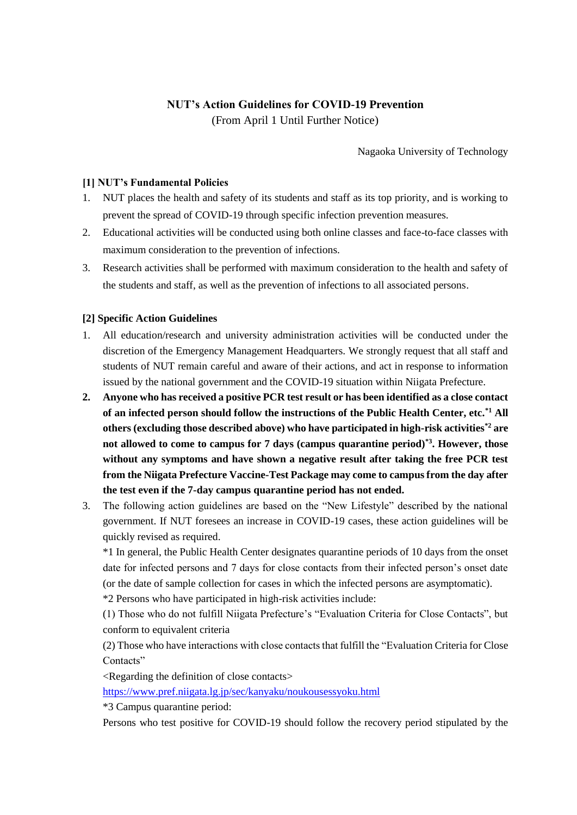# **NUT's Action Guidelines for COVID-19 Prevention**

(From April 1 Until Further Notice)

Nagaoka University of Technology

## **[1] NUT's Fundamental Policies**

- 1. NUT places the health and safety of its students and staff as its top priority, and is working to prevent the spread of COVID-19 through specific infection prevention measures.
- 2. Educational activities will be conducted using both online classes and face-to-face classes with maximum consideration to the prevention of infections.
- 3. Research activities shall be performed with maximum consideration to the health and safety of the students and staff, as well as the prevention of infections to all associated persons.

## **[2] Specific Action Guidelines**

- 1. All education/research and university administration activities will be conducted under the discretion of the Emergency Management Headquarters. We strongly request that all staff and students of NUT remain careful and aware of their actions, and act in response to information issued by the national government and the COVID-19 situation within Niigata Prefecture.
- **2. Anyone who has received a positive PCR test result or has been identified as a close contact of an infected person should follow the instructions of the Public Health Center, etc.\*1 All others (excluding those described above) who have participated in high-risk activities\*2 are not allowed to come to campus for 7 days (campus quarantine period)\*3. However, those without any symptoms and have shown a negative result after taking the free PCR test from the Niigata Prefecture Vaccine-Test Package may come to campus from the day after the test even if the 7-day campus quarantine period has not ended.**
- 3. The following action guidelines are based on the "New Lifestyle" described by the national government. If NUT foresees an increase in COVID-19 cases, these action guidelines will be quickly revised as required.

\*1 In general, the Public Health Center designates quarantine periods of 10 days from the onset date for infected persons and 7 days for close contacts from their infected person's onset date (or the date of sample collection for cases in which the infected persons are asymptomatic).

\*2 Persons who have participated in high-risk activities include:

(1) Those who do not fulfill Niigata Prefecture's "Evaluation Criteria for Close Contacts", but conform to equivalent criteria

(2) Those who have interactions with close contacts that fulfill the "Evaluation Criteria for Close Contacts"

<Regarding the definition of close contacts>

<https://www.pref.niigata.lg.jp/sec/kanyaku/noukousessyoku.html>

\*3 Campus quarantine period:

Persons who test positive for COVID-19 should follow the recovery period stipulated by the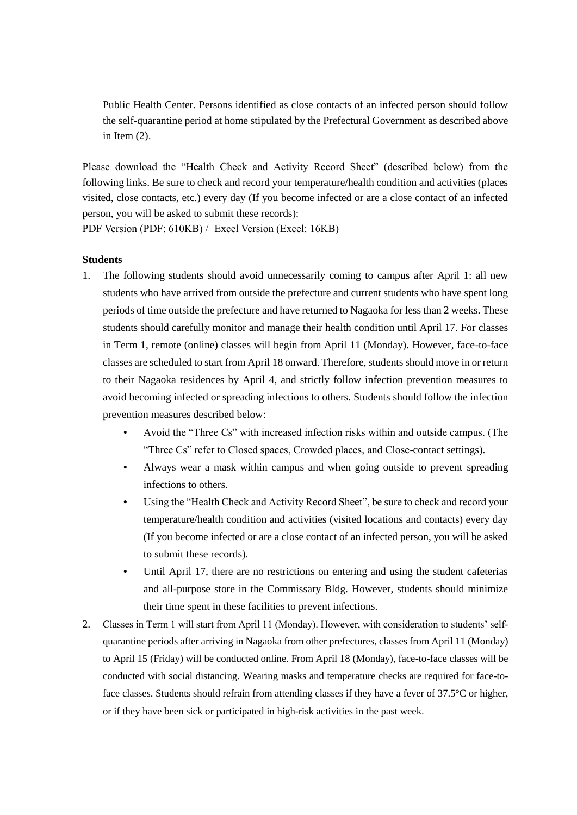Public Health Center. Persons identified as close contacts of an infected person should follow the self-quarantine period at home stipulated by the Prefectural Government as described above in Item  $(2)$ .

Please download the "Health Check and Activity Record Sheet" (described below) from the following links. Be sure to check and record your temperature/health condition and activities (places visited, close contacts, etc.) every day (If you become infected or are a close contact of an infected person, you will be asked to submit these records):

[PDF Version \(PDF: 610KB\) /](https://www.nagaokaut.ac.jp/e/topics/202104/210409.files/check_sheat2.pdf) [Excel Version \(Excel: 16KB\)](https://www.nagaokaut.ac.jp/e/topics/202104/210409.files/check_sheat2.xlsx)

#### **Students**

- 1. The following students should avoid unnecessarily coming to campus after April 1: all new students who have arrived from outside the prefecture and current students who have spent long periods of time outside the prefecture and have returned to Nagaoka for less than 2 weeks. These students should carefully monitor and manage their health condition until April 17. For classes in Term 1, remote (online) classes will begin from April 11 (Monday). However, face-to-face classes are scheduled to start from April 18 onward. Therefore, students should move in or return to their Nagaoka residences by April 4, and strictly follow infection prevention measures to avoid becoming infected or spreading infections to others. Students should follow the infection prevention measures described below:
	- Avoid the "Three Cs" with increased infection risks within and outside campus. (The "Three Cs" refer to Closed spaces, Crowded places, and Close-contact settings).
	- Always wear a mask within campus and when going outside to prevent spreading infections to others.
	- Using the "Health Check and Activity Record Sheet", be sure to check and record your temperature/health condition and activities (visited locations and contacts) every day (If you become infected or are a close contact of an infected person, you will be asked to submit these records).
	- Until April 17, there are no restrictions on entering and using the student cafeterias and all-purpose store in the Commissary Bldg. However, students should minimize their time spent in these facilities to prevent infections.
- 2. Classes in Term 1 will start from April 11 (Monday). However, with consideration to students' selfquarantine periods after arriving in Nagaoka from other prefectures, classes from April 11 (Monday) to April 15 (Friday) will be conducted online. From April 18 (Monday), face-to-face classes will be conducted with social distancing. Wearing masks and temperature checks are required for face-toface classes. Students should refrain from attending classes if they have a fever of 37.5°C or higher, or if they have been sick or participated in high-risk activities in the past week.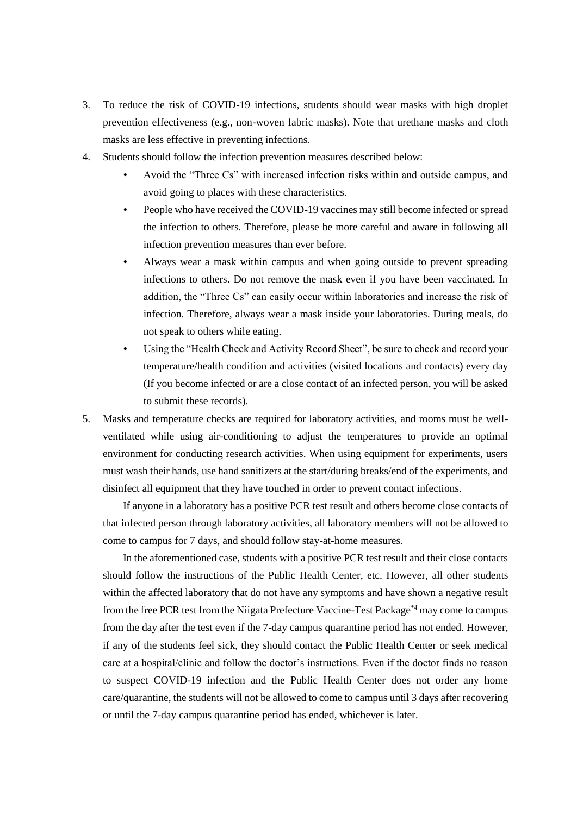- 3. To reduce the risk of COVID-19 infections, students should wear masks with high droplet prevention effectiveness (e.g., non-woven fabric masks). Note that urethane masks and cloth masks are less effective in preventing infections.
- 4. Students should follow the infection prevention measures described below:
	- Avoid the "Three Cs" with increased infection risks within and outside campus, and avoid going to places with these characteristics.
	- People who have received the COVID-19 vaccines may still become infected or spread the infection to others. Therefore, please be more careful and aware in following all infection prevention measures than ever before.
	- Always wear a mask within campus and when going outside to prevent spreading infections to others. Do not remove the mask even if you have been vaccinated. In addition, the "Three Cs" can easily occur within laboratories and increase the risk of infection. Therefore, always wear a mask inside your laboratories. During meals, do not speak to others while eating.
	- Using the "Health Check and Activity Record Sheet", be sure to check and record your temperature/health condition and activities (visited locations and contacts) every day (If you become infected or are a close contact of an infected person, you will be asked to submit these records).
- 5. Masks and temperature checks are required for laboratory activities, and rooms must be wellventilated while using air-conditioning to adjust the temperatures to provide an optimal environment for conducting research activities. When using equipment for experiments, users must wash their hands, use hand sanitizers at the start/during breaks/end of the experiments, and disinfect all equipment that they have touched in order to prevent contact infections.

If anyone in a laboratory has a positive PCR test result and others become close contacts of that infected person through laboratory activities, all laboratory members will not be allowed to come to campus for 7 days, and should follow stay-at-home measures.

In the aforementioned case, students with a positive PCR test result and their close contacts should follow the instructions of the Public Health Center, etc. However, all other students within the affected laboratory that do not have any symptoms and have shown a negative result from the free PCR test from the Niigata Prefecture Vaccine-Test Package\*4 may come to campus from the day after the test even if the 7-day campus quarantine period has not ended. However, if any of the students feel sick, they should contact the Public Health Center or seek medical care at a hospital/clinic and follow the doctor's instructions. Even if the doctor finds no reason to suspect COVID-19 infection and the Public Health Center does not order any home care/quarantine, the students will not be allowed to come to campus until 3 days after recovering or until the 7-day campus quarantine period has ended, whichever is later.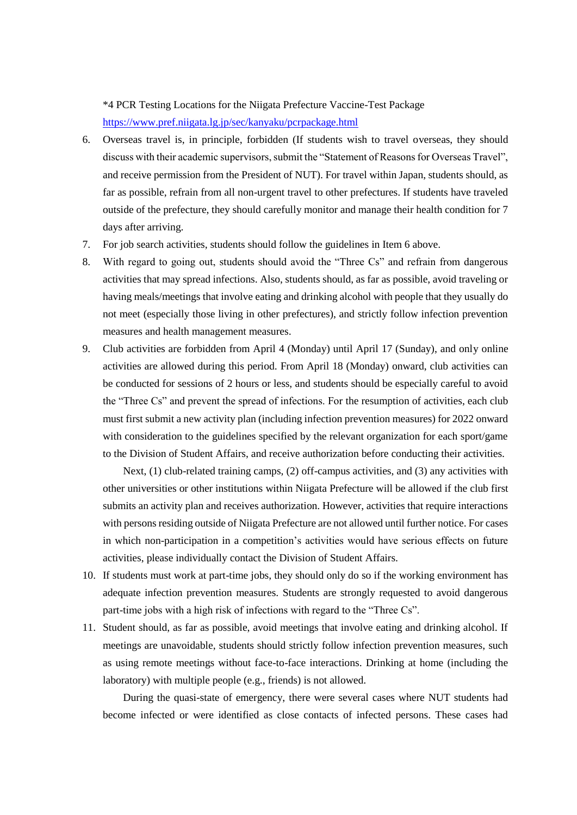\*4 PCR Testing Locations for the Niigata Prefecture Vaccine-Test Package <https://www.pref.niigata.lg.jp/sec/kanyaku/pcrpackage.html>

- 6. Overseas travel is, in principle, forbidden (If students wish to travel overseas, they should discuss with their academic supervisors, submit the "Statement of Reasons for Overseas Travel", and receive permission from the President of NUT). For travel within Japan, students should, as far as possible, refrain from all non-urgent travel to other prefectures. If students have traveled outside of the prefecture, they should carefully monitor and manage their health condition for 7 days after arriving.
- 7. For job search activities, students should follow the guidelines in Item 6 above.
- 8. With regard to going out, students should avoid the "Three Cs" and refrain from dangerous activities that may spread infections. Also, students should, as far as possible, avoid traveling or having meals/meetings that involve eating and drinking alcohol with people that they usually do not meet (especially those living in other prefectures), and strictly follow infection prevention measures and health management measures.
- 9. Club activities are forbidden from April 4 (Monday) until April 17 (Sunday), and only online activities are allowed during this period. From April 18 (Monday) onward, club activities can be conducted for sessions of 2 hours or less, and students should be especially careful to avoid the "Three Cs" and prevent the spread of infections. For the resumption of activities, each club must first submit a new activity plan (including infection prevention measures) for 2022 onward with consideration to the guidelines specified by the relevant organization for each sport/game to the Division of Student Affairs, and receive authorization before conducting their activities.

Next, (1) club-related training camps, (2) off-campus activities, and (3) any activities with other universities or other institutions within Niigata Prefecture will be allowed if the club first submits an activity plan and receives authorization. However, activities that require interactions with persons residing outside of Niigata Prefecture are not allowed until further notice. For cases in which non-participation in a competition's activities would have serious effects on future activities, please individually contact the Division of Student Affairs.

- 10. If students must work at part-time jobs, they should only do so if the working environment has adequate infection prevention measures. Students are strongly requested to avoid dangerous part-time jobs with a high risk of infections with regard to the "Three Cs".
- 11. Student should, as far as possible, avoid meetings that involve eating and drinking alcohol. If meetings are unavoidable, students should strictly follow infection prevention measures, such as using remote meetings without face-to-face interactions. Drinking at home (including the laboratory) with multiple people (e.g., friends) is not allowed.

During the quasi-state of emergency, there were several cases where NUT students had become infected or were identified as close contacts of infected persons. These cases had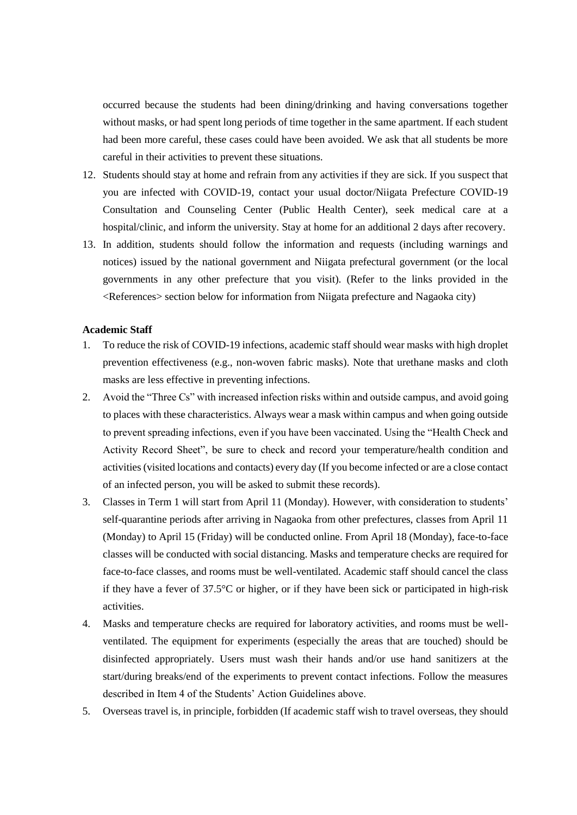occurred because the students had been dining/drinking and having conversations together without masks, or had spent long periods of time together in the same apartment. If each student had been more careful, these cases could have been avoided. We ask that all students be more careful in their activities to prevent these situations.

- 12. Students should stay at home and refrain from any activities if they are sick. If you suspect that you are infected with COVID-19, contact your usual doctor/Niigata Prefecture COVID-19 Consultation and Counseling Center (Public Health Center), seek medical care at a hospital/clinic, and inform the university. Stay at home for an additional 2 days after recovery.
- 13. In addition, students should follow the information and requests (including warnings and notices) issued by the national government and Niigata prefectural government (or the local governments in any other prefecture that you visit). (Refer to the links provided in the <References> section below for information from Niigata prefecture and Nagaoka city)

#### **Academic Staff**

- 1. To reduce the risk of COVID-19 infections, academic staff should wear masks with high droplet prevention effectiveness (e.g., non-woven fabric masks). Note that urethane masks and cloth masks are less effective in preventing infections.
- 2. Avoid the "Three Cs" with increased infection risks within and outside campus, and avoid going to places with these characteristics. Always wear a mask within campus and when going outside to prevent spreading infections, even if you have been vaccinated. Using the "Health Check and Activity Record Sheet", be sure to check and record your temperature/health condition and activities (visited locations and contacts) every day (If you become infected or are a close contact of an infected person, you will be asked to submit these records).
- 3. Classes in Term 1 will start from April 11 (Monday). However, with consideration to students' self-quarantine periods after arriving in Nagaoka from other prefectures, classes from April 11 (Monday) to April 15 (Friday) will be conducted online. From April 18 (Monday), face-to-face classes will be conducted with social distancing. Masks and temperature checks are required for face-to-face classes, and rooms must be well-ventilated. Academic staff should cancel the class if they have a fever of 37.5°C or higher, or if they have been sick or participated in high-risk activities.
- 4. Masks and temperature checks are required for laboratory activities, and rooms must be wellventilated. The equipment for experiments (especially the areas that are touched) should be disinfected appropriately. Users must wash their hands and/or use hand sanitizers at the start/during breaks/end of the experiments to prevent contact infections. Follow the measures described in Item 4 of the Students' Action Guidelines above.
- 5. Overseas travel is, in principle, forbidden (If academic staff wish to travel overseas, they should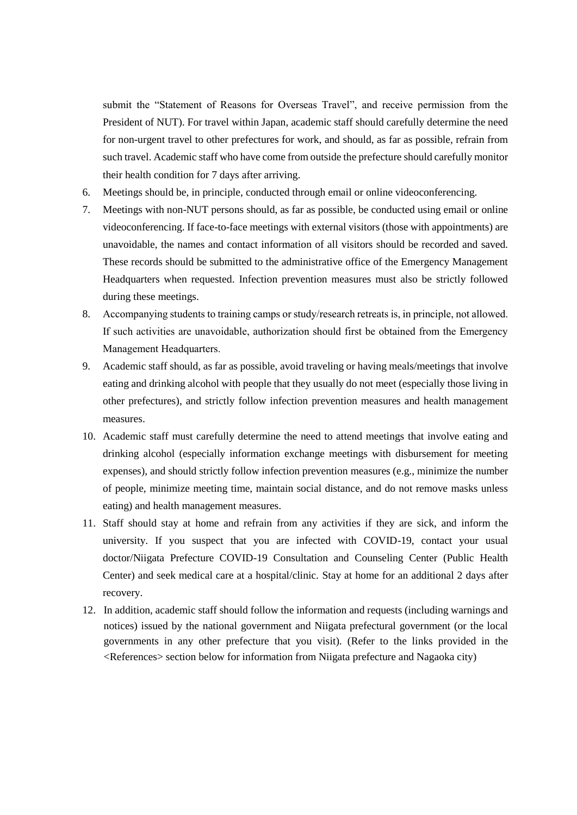submit the "Statement of Reasons for Overseas Travel", and receive permission from the President of NUT). For travel within Japan, academic staff should carefully determine the need for non-urgent travel to other prefectures for work, and should, as far as possible, refrain from such travel. Academic staff who have come from outside the prefecture should carefully monitor their health condition for 7 days after arriving.

- 6. Meetings should be, in principle, conducted through email or online videoconferencing.
- 7. Meetings with non-NUT persons should, as far as possible, be conducted using email or online videoconferencing. If face-to-face meetings with external visitors (those with appointments) are unavoidable, the names and contact information of all visitors should be recorded and saved. These records should be submitted to the administrative office of the Emergency Management Headquarters when requested. Infection prevention measures must also be strictly followed during these meetings.
- 8. Accompanying students to training camps or study/research retreats is, in principle, not allowed. If such activities are unavoidable, authorization should first be obtained from the Emergency Management Headquarters.
- 9. Academic staff should, as far as possible, avoid traveling or having meals/meetings that involve eating and drinking alcohol with people that they usually do not meet (especially those living in other prefectures), and strictly follow infection prevention measures and health management measures.
- 10. Academic staff must carefully determine the need to attend meetings that involve eating and drinking alcohol (especially information exchange meetings with disbursement for meeting expenses), and should strictly follow infection prevention measures (e.g., minimize the number of people, minimize meeting time, maintain social distance, and do not remove masks unless eating) and health management measures.
- 11. Staff should stay at home and refrain from any activities if they are sick, and inform the university. If you suspect that you are infected with COVID-19, contact your usual doctor/Niigata Prefecture COVID-19 Consultation and Counseling Center (Public Health Center) and seek medical care at a hospital/clinic. Stay at home for an additional 2 days after recovery.
- 12. In addition, academic staff should follow the information and requests (including warnings and notices) issued by the national government and Niigata prefectural government (or the local governments in any other prefecture that you visit). (Refer to the links provided in the <References> section below for information from Niigata prefecture and Nagaoka city)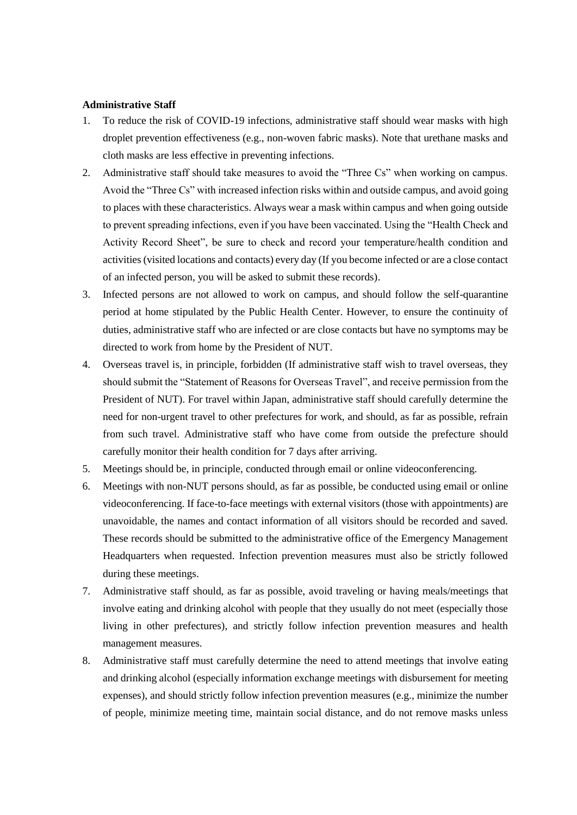#### **Administrative Staff**

- 1. To reduce the risk of COVID-19 infections, administrative staff should wear masks with high droplet prevention effectiveness (e.g., non-woven fabric masks). Note that urethane masks and cloth masks are less effective in preventing infections.
- 2. Administrative staff should take measures to avoid the "Three Cs" when working on campus. Avoid the "Three Cs" with increased infection risks within and outside campus, and avoid going to places with these characteristics. Always wear a mask within campus and when going outside to prevent spreading infections, even if you have been vaccinated. Using the "Health Check and Activity Record Sheet", be sure to check and record your temperature/health condition and activities (visited locations and contacts) every day (If you become infected or are a close contact of an infected person, you will be asked to submit these records).
- 3. Infected persons are not allowed to work on campus, and should follow the self-quarantine period at home stipulated by the Public Health Center. However, to ensure the continuity of duties, administrative staff who are infected or are close contacts but have no symptoms may be directed to work from home by the President of NUT.
- 4. Overseas travel is, in principle, forbidden (If administrative staff wish to travel overseas, they should submit the "Statement of Reasons for Overseas Travel", and receive permission from the President of NUT). For travel within Japan, administrative staff should carefully determine the need for non-urgent travel to other prefectures for work, and should, as far as possible, refrain from such travel. Administrative staff who have come from outside the prefecture should carefully monitor their health condition for 7 days after arriving.
- 5. Meetings should be, in principle, conducted through email or online videoconferencing.
- 6. Meetings with non-NUT persons should, as far as possible, be conducted using email or online videoconferencing. If face-to-face meetings with external visitors (those with appointments) are unavoidable, the names and contact information of all visitors should be recorded and saved. These records should be submitted to the administrative office of the Emergency Management Headquarters when requested. Infection prevention measures must also be strictly followed during these meetings.
- 7. Administrative staff should, as far as possible, avoid traveling or having meals/meetings that involve eating and drinking alcohol with people that they usually do not meet (especially those living in other prefectures), and strictly follow infection prevention measures and health management measures.
- 8. Administrative staff must carefully determine the need to attend meetings that involve eating and drinking alcohol (especially information exchange meetings with disbursement for meeting expenses), and should strictly follow infection prevention measures (e.g., minimize the number of people, minimize meeting time, maintain social distance, and do not remove masks unless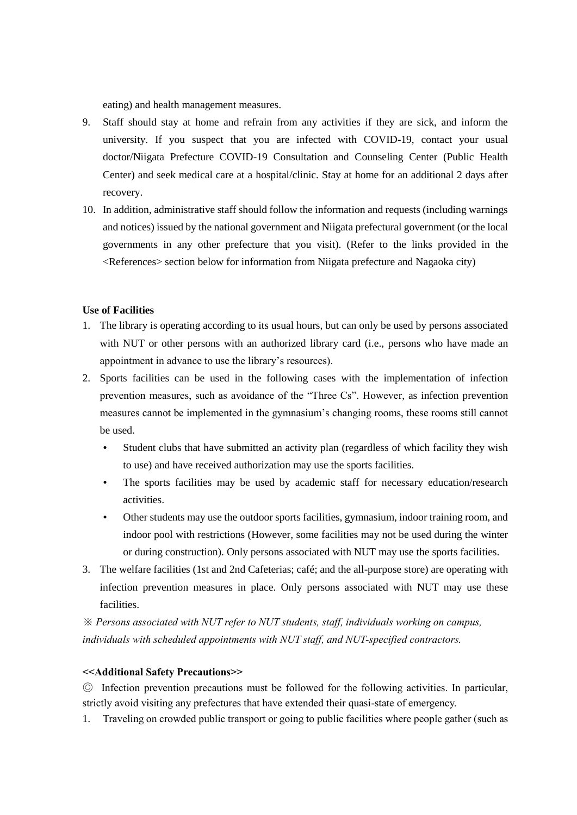eating) and health management measures.

- 9. Staff should stay at home and refrain from any activities if they are sick, and inform the university. If you suspect that you are infected with COVID-19, contact your usual doctor/Niigata Prefecture COVID-19 Consultation and Counseling Center (Public Health Center) and seek medical care at a hospital/clinic. Stay at home for an additional 2 days after recovery.
- 10. In addition, administrative staff should follow the information and requests (including warnings and notices) issued by the national government and Niigata prefectural government (or the local governments in any other prefecture that you visit). (Refer to the links provided in the <References> section below for information from Niigata prefecture and Nagaoka city)

#### **Use of Facilities**

- 1. The library is operating according to its usual hours, but can only be used by persons associated with NUT or other persons with an authorized library card (i.e., persons who have made an appointment in advance to use the library's resources).
- 2. Sports facilities can be used in the following cases with the implementation of infection prevention measures, such as avoidance of the "Three Cs". However, as infection prevention measures cannot be implemented in the gymnasium's changing rooms, these rooms still cannot be used.
	- Student clubs that have submitted an activity plan (regardless of which facility they wish to use) and have received authorization may use the sports facilities.
	- The sports facilities may be used by academic staff for necessary education/research activities.
	- Other students may use the outdoor sports facilities, gymnasium, indoor training room, and indoor pool with restrictions (However, some facilities may not be used during the winter or during construction). Only persons associated with NUT may use the sports facilities.
- 3. The welfare facilities (1st and 2nd Cafeterias; café; and the all-purpose store) are operating with infection prevention measures in place. Only persons associated with NUT may use these facilities.

*※ Persons associated with NUT refer to NUT students, staff, individuals working on campus, individuals with scheduled appointments with NUT staff, and NUT-specified contractors.*

#### **<<Additional Safety Precautions>>**

◎ Infection prevention precautions must be followed for the following activities. In particular, strictly avoid visiting any prefectures that have extended their quasi-state of emergency.

1. Traveling on crowded public transport or going to public facilities where people gather (such as